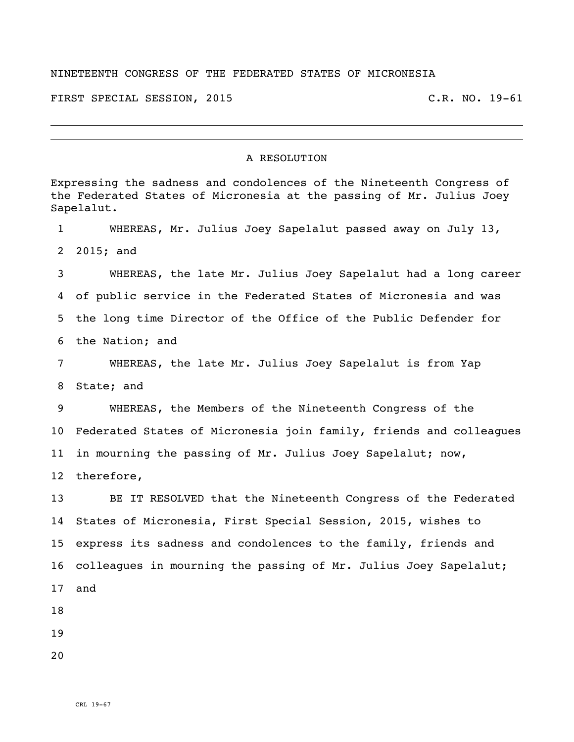## NINETEENTH CONGRESS OF THE FEDERATED STATES OF MICRONESIA

FIRST SPECIAL SESSION, 2015 C.R. NO. 19-61

## A RESOLUTION

Expressing the sadness and condolences of the Nineteenth Congress of the Federated States of Micronesia at the passing of Mr. Julius Joey Sapelalut. WHEREAS, Mr. Julius Joey Sapelalut passed away on July 13, 2015; and WHEREAS, the late Mr. Julius Joey Sapelalut had a long career of public service in the Federated States of Micronesia and was the long time Director of the Office of the Public Defender for the Nation; and WHEREAS, the late Mr. Julius Joey Sapelalut is from Yap State; and WHEREAS, the Members of the Nineteenth Congress of the Federated States of Micronesia join family, friends and colleagues 11 in mourning the passing of Mr. Julius Joey Sapelalut; now, therefore, BE IT RESOLVED that the Nineteenth Congress of the Federated States of Micronesia, First Special Session, 2015, wishes to express its sadness and condolences to the family, friends and colleagues in mourning the passing of Mr. Julius Joey Sapelalut; and